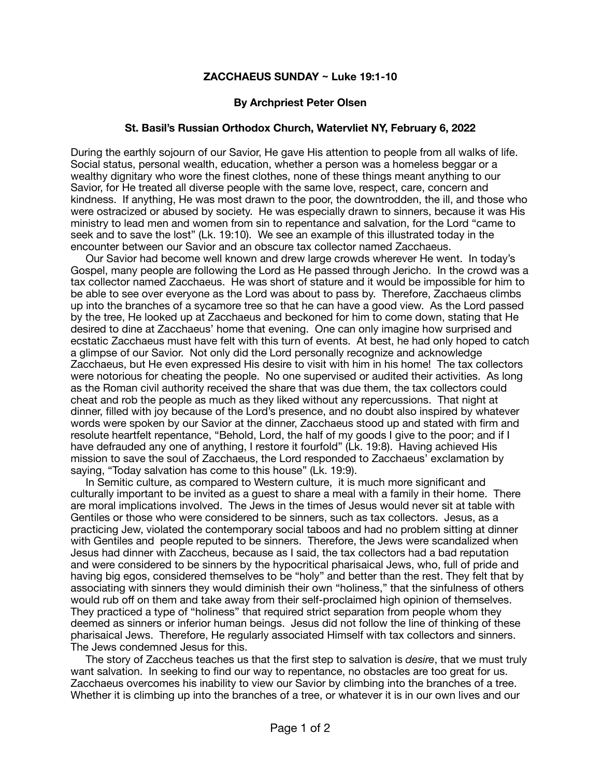## **ZACCHAEUS SUNDAY ~ Luke 19:1-10**

## **By Archpriest Peter Olsen**

## **St. Basil's Russian Orthodox Church, Watervliet NY, February 6, 2022**

During the earthly sojourn of our Savior, He gave His attention to people from all walks of life. Social status, personal wealth, education, whether a person was a homeless beggar or a wealthy dignitary who wore the finest clothes, none of these things meant anything to our Savior, for He treated all diverse people with the same love, respect, care, concern and kindness. If anything, He was most drawn to the poor, the downtrodden, the ill, and those who were ostracized or abused by society. He was especially drawn to sinners, because it was His ministry to lead men and women from sin to repentance and salvation, for the Lord "came to seek and to save the lost" (Lk. 19:10). We see an example of this illustrated today in the encounter between our Savior and an obscure tax collector named Zacchaeus.

 Our Savior had become well known and drew large crowds wherever He went. In today's Gospel, many people are following the Lord as He passed through Jericho. In the crowd was a tax collector named Zacchaeus. He was short of stature and it would be impossible for him to be able to see over everyone as the Lord was about to pass by. Therefore, Zacchaeus climbs up into the branches of a sycamore tree so that he can have a good view. As the Lord passed by the tree, He looked up at Zacchaeus and beckoned for him to come down, stating that He desired to dine at Zacchaeus' home that evening. One can only imagine how surprised and ecstatic Zacchaeus must have felt with this turn of events. At best, he had only hoped to catch a glimpse of our Savior. Not only did the Lord personally recognize and acknowledge Zacchaeus, but He even expressed His desire to visit with him in his home! The tax collectors were notorious for cheating the people. No one supervised or audited their activities. As long as the Roman civil authority received the share that was due them, the tax collectors could cheat and rob the people as much as they liked without any repercussions. That night at dinner, filled with joy because of the Lord's presence, and no doubt also inspired by whatever words were spoken by our Savior at the dinner, Zacchaeus stood up and stated with firm and resolute heartfelt repentance, "Behold, Lord, the half of my goods I give to the poor; and if I have defrauded any one of anything, I restore it fourfold" (Lk. 19:8). Having achieved His mission to save the soul of Zacchaeus, the Lord responded to Zacchaeus' exclamation by saying, "Today salvation has come to this house" (Lk. 19:9).

 In Semitic culture, as compared to Western culture, it is much more significant and culturally important to be invited as a guest to share a meal with a family in their home. There are moral implications involved. The Jews in the times of Jesus would never sit at table with Gentiles or those who were considered to be sinners, such as tax collectors. Jesus, as a practicing Jew, violated the contemporary social taboos and had no problem sitting at dinner with Gentiles and people reputed to be sinners. Therefore, the Jews were scandalized when Jesus had dinner with Zaccheus, because as I said, the tax collectors had a bad reputation and were considered to be sinners by the hypocritical pharisaical Jews, who, full of pride and having big egos, considered themselves to be "holy" and better than the rest. They felt that by associating with sinners they would diminish their own "holiness," that the sinfulness of others would rub off on them and take away from their self-proclaimed high opinion of themselves. They practiced a type of "holiness" that required strict separation from people whom they deemed as sinners or inferior human beings. Jesus did not follow the line of thinking of these pharisaical Jews. Therefore, He regularly associated Himself with tax collectors and sinners. The Jews condemned Jesus for this.

 The story of Zaccheus teaches us that the first step to salvation is *desire*, that we must truly want salvation. In seeking to find our way to repentance, no obstacles are too great for us. Zacchaeus overcomes his inability to view our Savior by climbing into the branches of a tree. Whether it is climbing up into the branches of a tree, or whatever it is in our own lives and our